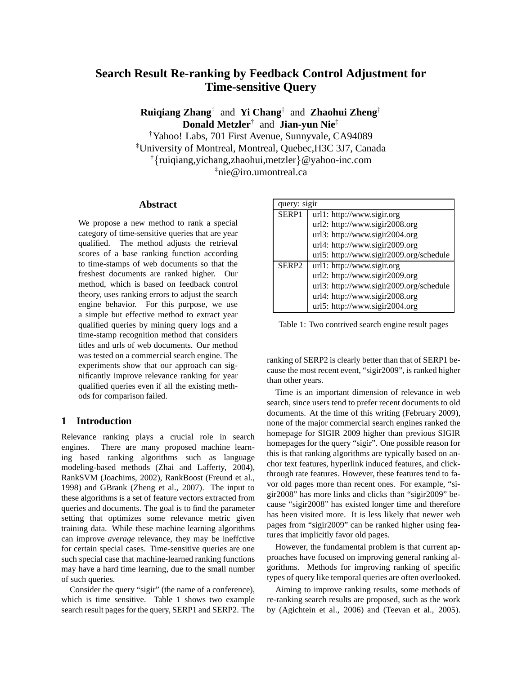# **Search Result Re-ranking by Feedback Control Adjustment for Time-sensitive Query**

**Ruiqiang Zhang**† and **Yi Chang**† and **Zhaohui Zheng**† **Donald Metzler**† and **Jian-yun Nie**‡

†Yahoo! Labs, 701 First Avenue, Sunnyvale, CA94089 ‡University of Montreal, Montreal, Quebec,H3C 3J7, Canada †{ruiqiang,yichang,zhaohui,metzler}@yahoo-inc.com ‡nie@iro.umontreal.ca

### **Abstract**

We propose a new method to rank a special category of time-sensitive queries that are year qualified. The method adjusts the retrieval scores of a base ranking function according to time-stamps of web documents so that the freshest documents are ranked higher. Our method, which is based on feedback control theory, uses ranking errors to adjust the search engine behavior. For this purpose, we use a simple but effective method to extract year qualified queries by mining query logs and a time-stamp recognition method that considers titles and urls of web documents. Our method was tested on a commercial search engine. The experiments show that our approach can significantly improve relevance ranking for year qualified queries even if all the existing methods for comparison failed.

# **1 Introduction**

Relevance ranking plays a crucial role in search engines. There are many proposed machine learning based ranking algorithms such as language modeling-based methods (Zhai and Lafferty, 2004), RankSVM (Joachims, 2002), RankBoost (Freund et al., 1998) and GBrank (Zheng et al., 2007). The input to these algorithms is a set of feature vectors extracted from queries and documents. The goal is to find the parameter setting that optimizes some relevance metric given training data. While these machine learning algorithms can improve *average* relevance, they may be ineffctive for certain special cases. Time-sensitive queries are one such special case that machine-learned ranking functions may have a hard time learning, due to the small number of such queries.

Consider the query "sigir" (the name of a conference), which is time sensitive. Table 1 shows two example search result pages for the query, SERP1 and SERP2. The

| query: sigir      |                                         |  |  |  |  |  |
|-------------------|-----------------------------------------|--|--|--|--|--|
| SERP <sub>1</sub> | url1: http://www.sigir.org              |  |  |  |  |  |
|                   | url2: http://www.sigir2008.org          |  |  |  |  |  |
|                   | url3: http://www.sigir2004.org          |  |  |  |  |  |
|                   | url4: http://www.sigir2009.org          |  |  |  |  |  |
|                   | url5: http://www.sigir2009.org/schedule |  |  |  |  |  |
| SERP <sub>2</sub> | url1: http://www.sigir.org              |  |  |  |  |  |
|                   | url2: http://www.sigir2009.org          |  |  |  |  |  |
|                   | url3: http://www.sigir2009.org/schedule |  |  |  |  |  |
|                   | url4: http://www.sigir2008.org          |  |  |  |  |  |
|                   | url5: http://www.sigir2004.org          |  |  |  |  |  |

Table 1: Two contrived search engine result pages

ranking of SERP2 is clearly better than that of SERP1 because the most recent event, "sigir2009", is ranked higher than other years.

Time is an important dimension of relevance in web search, since users tend to prefer recent documents to old documents. At the time of this writing (February 2009), none of the major commercial search engines ranked the homepage for SIGIR 2009 higher than previous SIGIR homepages for the query "sigir". One possible reason for this is that ranking algorithms are typically based on anchor text features, hyperlink induced features, and clickthrough rate features. However, these features tend to favor old pages more than recent ones. For example, "sigir2008" has more links and clicks than "sigir2009" because "sigir2008" has existed longer time and therefore has been visited more. It is less likely that newer web pages from "sigir2009" can be ranked higher using features that implicitly favor old pages.

However, the fundamental problem is that current approaches have focused on improving general ranking algorithms. Methods for improving ranking of specific types of query like temporal queries are often overlooked.

Aiming to improve ranking results, some methods of re-ranking search results are proposed, such as the work by (Agichtein et al., 2006) and (Teevan et al., 2005).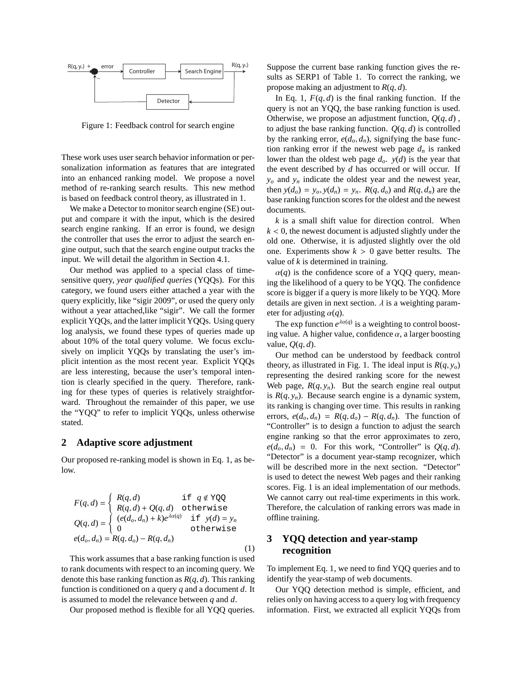

Figure 1: Feedback control for search engine

These work uses user search behavior information or personalization information as features that are integrated into an enhanced ranking model. We propose a novel method of re-ranking search results. This new method is based on feedback control theory, as illustrated in 1.

We make a Detector to monitor search engine (SE) output and compare it with the input, which is the desired search engine ranking. If an error is found, we design the controller that uses the error to adjust the search engine output, such that the search engine output tracks the input. We will detail the algorithm in Section 4.1.

Our method was applied to a special class of timesensitive query, *year qualified queries* (YQQs). For this category, we found users either attached a year with the query explicitly, like "sigir 2009", or used the query only without a year attached,like "sigir". We call the former explicit YQQs, and the latter implicit YQQs. Using query log analysis, we found these types of queries made up about 10% of the total query volume. We focus exclusively on implicit YQQs by translating the user's implicit intention as the most recent year. Explicit YQQs are less interesting, because the user's temporal intention is clearly specified in the query. Therefore, ranking for these types of queries is relatively straightforward. Throughout the remainder of this paper, we use the "YQQ" to refer to implicit YQQs, unless otherwise stated.

#### **2 Adaptive score adjustment**

Our proposed re-ranking model is shown in Eq. 1, as below.

$$
F(q, d) = \begin{cases} R(q, d) & \text{if } q \notin \text{YQQ} \\ R(q, d) + Q(q, d) & \text{otherwise} \end{cases}
$$
  
\n
$$
Q(q, d) = \begin{cases} (e(d_o, d_n) + k)e^{\lambda \alpha(q)} & \text{if } y(d) = y_n \\ 0 & \text{otherwise} \end{cases}
$$
  
\n
$$
e(d_o, d_n) = R(q, d_o) - R(q, d_n)
$$
  
\n(1)

This work assumes that a base ranking function is used to rank documents with respect to an incoming query. We denote this base ranking function as *R*(*q*, *d*). This ranking function is conditioned on a query *q* and a document *d*. It is assumed to model the relevance between *q* and *d*.

Our proposed method is flexible for all YQQ queries.

Suppose the current base ranking function gives the results as SERP1 of Table 1. To correct the ranking, we propose making an adjustment to *R*(*q*, *d*).

In Eq. 1,  $F(q, d)$  is the final ranking function. If the query is not an YQQ, the base ranking function is used. Otherwise, we propose an adjustment function,  $Q(q, d)$ , to adjust the base ranking function.  $Q(q, d)$  is controlled by the ranking error,  $e(d_o, d_n)$ , signifying the base function ranking error if the newest web page  $d_n$  is ranked lower than the oldest web page *do*. *y*(*d*) is the year that the event described by *d* has occurred or will occur. If *y<sup>o</sup>* and *y<sup>n</sup>* indicate the oldest year and the newest year, then  $y(d_o) = y_o$ ,  $y(d_n) = y_n$ .  $R(q, d_o)$  and  $R(q, d_n)$  are the base ranking function scores for the oldest and the newest documents.

*k* is a small shift value for direction control. When  $k < 0$ , the newest document is adjusted slightly under the old one. Otherwise, it is adjusted slightly over the old one. Experiments show  $k > 0$  gave better results. The value of *k* is determined in training.

 $\alpha(q)$  is the confidence score of a YQQ query, meaning the likelihood of a query to be YQQ. The confidence score is bigger if a query is more likely to be YQQ. More details are given in next section.  $\lambda$  is a weighting parameter for adjusting  $\alpha(q)$ .

The exp function  $e^{\lambda \alpha(q)}$  is a weighting to control boosting value. A higher value, confidence  $\alpha$ , a larger boosting value,  $Q(q, d)$ .

Our method can be understood by feedback control theory, as illustrated in Fig. 1. The ideal input is  $R(q, y_o)$ representing the desired ranking score for the newest Web page,  $R(q, y_n)$ . But the search engine real output is  $R(q, y_n)$ . Because search engine is a dynamic system, its ranking is changing over time. This results in ranking errors,  $e(d_o, d_n) = R(q, d_o) - R(q, d_n)$ . The function of "Controller" is to design a function to adjust the search engine ranking so that the error approximates to zero,  $e(d_o, d_n) = 0$ . For this work, "Controller" is  $Q(q, d)$ . "Detector" is a document year-stamp recognizer, which will be described more in the next section. "Detector" is used to detect the newest Web pages and their ranking scores. Fig. 1 is an ideal implementation of our methods. We cannot carry out real-time experiments in this work. Therefore, the calculation of ranking errors was made in offline training.

# **3 YQQ detection and year-stamp recognition**

To implement Eq. 1, we need to find YQQ queries and to identify the year-stamp of web documents.

Our YQQ detection method is simple, efficient, and relies only on having access to a query log with frequency information. First, we extracted all explicit YQQs from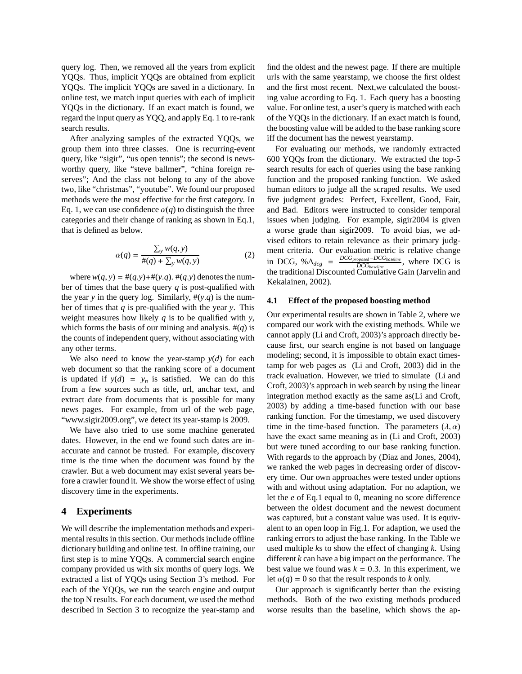query log. Then, we removed all the years from explicit YQQs. Thus, implicit YQQs are obtained from explicit YQQs. The implicit YQQs are saved in a dictionary. In online test, we match input queries with each of implicit YQQs in the dictionary. If an exact match is found, we regard the input query as YQQ, and apply Eq. 1 to re-rank search results.

After analyzing samples of the extracted YQQs, we group them into three classes. One is recurring-event query, like "sigir", "us open tennis"; the second is newsworthy query, like "steve ballmer", "china foreign reserves"; And the class not belong to any of the above two, like "christmas", "youtube". We found our proposed methods were the most effective for the first category. In Eq. 1, we can use confidence  $\alpha(q)$  to distinguish the three categories and their change of ranking as shown in Eq.1, that is defined as below.

$$
\alpha(q) = \frac{\sum_{y} w(q, y)}{\#(q) + \sum_{y} w(q, y)}
$$
(2)

where  $w(q, y) = \#(q, y) + \#(y, q)$ .  $\#(q, y)$  denotes the number of times that the base query *q* is post-qualified with the year *y* in the query log. Similarly,  $\#(y,q)$  is the number of times that *q* is pre-qualified with the year *y*. This weight measures how likely *q* is to be qualified with *y*, which forms the basis of our mining and analysis.  $\#(q)$  is the counts of independent query, without associating with any other terms.

We also need to know the year-stamp  $y(d)$  for each web document so that the ranking score of a document is updated if  $y(d) = y_n$  is satisfied. We can do this from a few sources such as title, url, anchar text, and extract date from documents that is possible for many news pages. For example, from url of the web page, "www.sigir2009.org", we detect its year-stamp is 2009.

We have also tried to use some machine generated dates. However, in the end we found such dates are inaccurate and cannot be trusted. For example, discovery time is the time when the document was found by the crawler. But a web document may exist several years before a crawler found it. We show the worse effect of using discovery time in the experiments.

### **4 Experiments**

We will describe the implementation methods and experimental results in this section. Our methods include offline dictionary building and online test. In offline training, our first step is to mine YQQs. A commercial search engine company provided us with six months of query logs. We extracted a list of YQQs using Section 3's method. For each of the YQQs, we run the search engine and output the top N results. For each document, we used the method described in Section 3 to recognize the year-stamp and

find the oldest and the newest page. If there are multiple urls with the same yearstamp, we choose the first oldest and the first most recent. Next,we calculated the boosting value according to Eq. 1. Each query has a boosting value. For online test, a user's query is matched with each of the YQQs in the dictionary. If an exact match is found, the boosting value will be added to the base ranking score iff the document has the newest yearstamp.

For evaluating our methods, we randomly extracted 600 YQQs from the dictionary. We extracted the top-5 search results for each of queries using the base ranking function and the proposed ranking function. We asked human editors to judge all the scraped results. We used five judgment grades: Perfect, Excellent, Good, Fair, and Bad. Editors were instructed to consider temporal issues when judging. For example, sigir2004 is given a worse grade than sigir2009. To avoid bias, we advised editors to retain relevance as their primary judgment criteria. Our evaluation metric is relative change  $\text{inc } \text{DCG}$ , % $\Delta_{dcg} = \frac{DCG_{proposed} - DCG_{baseline}}{DCG_{b!\text{c}}}.$ *DCGbaseline* , where DCG is the traditional Discounted Cumulative Gain (Jarvelin and Kekalainen, 2002).

#### **4.1 Effect of the proposed boosting method**

Our experimental results are shown in Table 2, where we compared our work with the existing methods. While we cannot apply (Li and Croft, 2003)'s approach directly because first, our search engine is not based on language modeling; second, it is impossible to obtain exact timestamp for web pages as (Li and Croft, 2003) did in the track evaluation. However, we tried to simulate (Li and Croft, 2003)'s approach in web search by using the linear integration method exactly as the same as(Li and Croft, 2003) by adding a time-based function with our base ranking function. For the timestamp, we used discovery time in the time-based function. The parameters  $(\lambda, \alpha)$ have the exact same meaning as in (Li and Croft, 2003) but were tuned according to our base ranking function. With regards to the approach by (Diaz and Jones, 2004), we ranked the web pages in decreasing order of discovery time. Our own approaches were tested under options with and without using adaptation. For no adaption, we let the *e* of Eq.1 equal to 0, meaning no score difference between the oldest document and the newest document was captured, but a constant value was used. It is equivalent to an open loop in Fig.1. For adaption, we used the ranking errors to adjust the base ranking. In the Table we used multiple *k*s to show the effect of changing *k*. Using different *k* can have a big impact on the performance. The best value we found was  $k = 0.3$ . In this experiment, we let  $\alpha(q) = 0$  so that the result responds to *k* only.

Our approach is significantly better than the existing methods. Both of the two existing methods produced worse results than the baseline, which shows the ap-